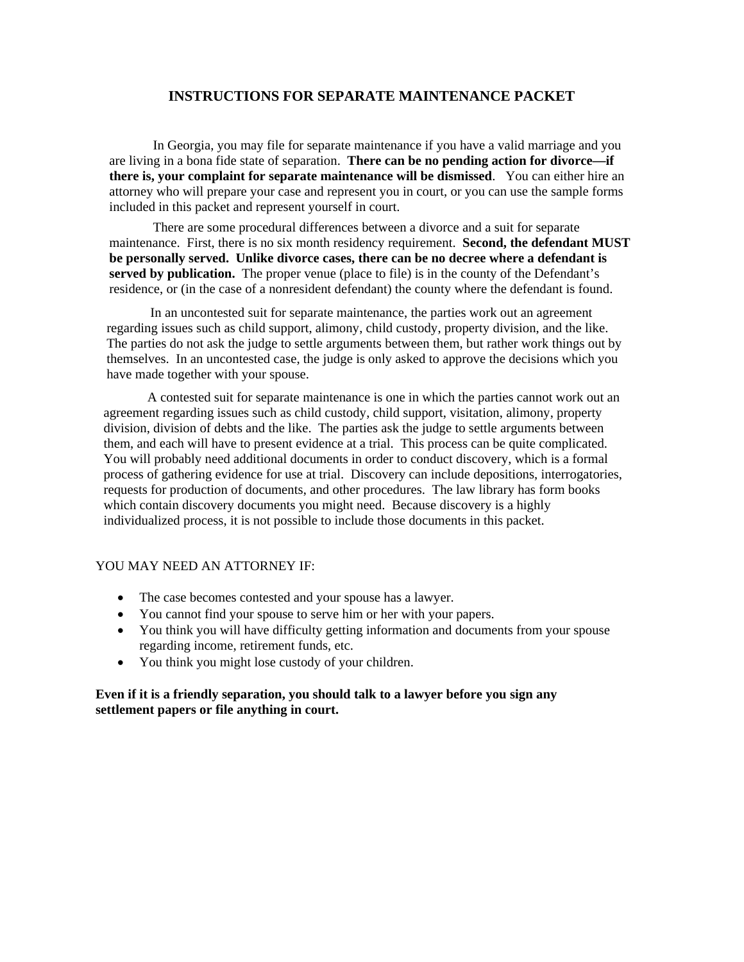# **INSTRUCTIONS FOR SEPARATE MAINTENANCE PACKET**

 In Georgia, you may file for separate maintenance if you have a valid marriage and you are living in a bona fide state of separation. **There can be no pending action for divorce—if there is, your complaint for separate maintenance will be dismissed**. You can either hire an attorney who will prepare your case and represent you in court, or you can use the sample forms included in this packet and represent yourself in court.

 There are some procedural differences between a divorce and a suit for separate maintenance. First, there is no six month residency requirement. **Second, the defendant MUST be personally served. Unlike divorce cases, there can be no decree where a defendant is**  served by publication. The proper venue (place to file) is in the county of the Defendant's residence, or (in the case of a nonresident defendant) the county where the defendant is found.

 In an uncontested suit for separate maintenance, the parties work out an agreement regarding issues such as child support, alimony, child custody, property division, and the like. The parties do not ask the judge to settle arguments between them, but rather work things out by themselves. In an uncontested case, the judge is only asked to approve the decisions which you have made together with your spouse.

 A contested suit for separate maintenance is one in which the parties cannot work out an agreement regarding issues such as child custody, child support, visitation, alimony, property division, division of debts and the like. The parties ask the judge to settle arguments between them, and each will have to present evidence at a trial. This process can be quite complicated. You will probably need additional documents in order to conduct discovery, which is a formal process of gathering evidence for use at trial. Discovery can include depositions, interrogatories, requests for production of documents, and other procedures. The law library has form books which contain discovery documents you might need. Because discovery is a highly individualized process, it is not possible to include those documents in this packet.

#### YOU MAY NEED AN ATTORNEY IF:

- The case becomes contested and your spouse has a lawyer.
- You cannot find your spouse to serve him or her with your papers.
- You think you will have difficulty getting information and documents from your spouse regarding income, retirement funds, etc.
- You think you might lose custody of your children.

## **Even if it is a friendly separation, you should talk to a lawyer before you sign any settlement papers or file anything in court.**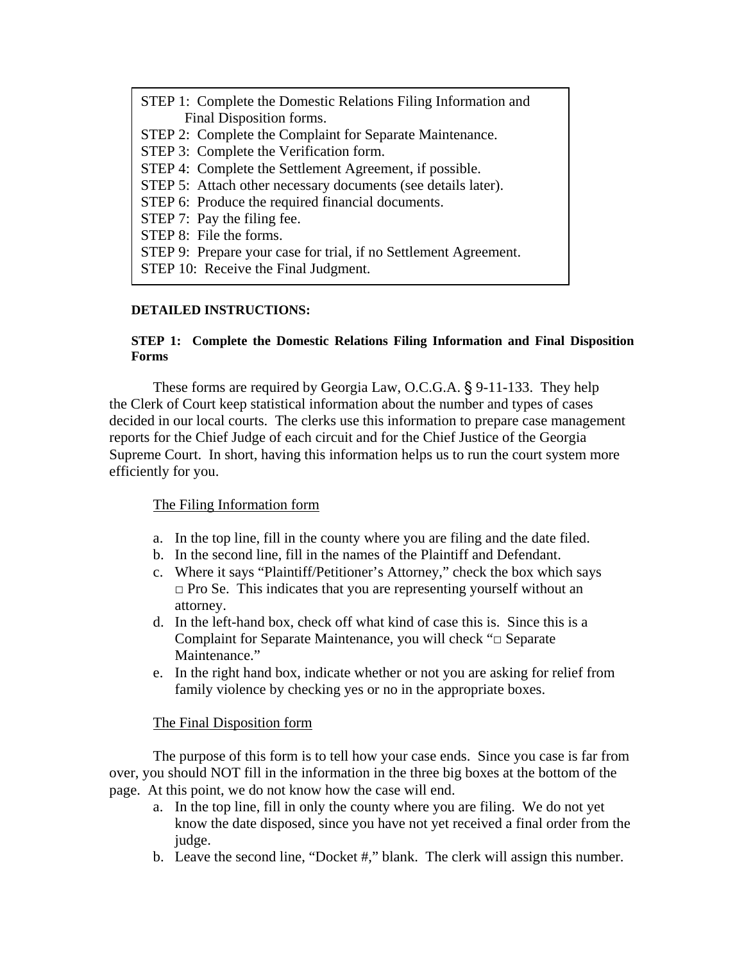| STEP 1: Complete the Domestic Relations Filing Information and   |
|------------------------------------------------------------------|
| Final Disposition forms.                                         |
| STEP 2: Complete the Complaint for Separate Maintenance.         |
| STEP 3: Complete the Verification form.                          |
| STEP 4: Complete the Settlement Agreement, if possible.          |
| STEP 5: Attach other necessary documents (see details later).    |
| STEP 6: Produce the required financial documents.                |
| STEP 7: Pay the filing fee.                                      |
| STEP 8: File the forms.                                          |
| STEP 9: Prepare your case for trial, if no Settlement Agreement. |
| STEP 10: Receive the Final Judgment.                             |

## **DETAILED INSTRUCTIONS:**

# **STEP 1: Complete the Domestic Relations Filing Information and Final Disposition Forms**

These forms are required by Georgia Law, O.C.G.A. § 9-11-133. They help the Clerk of Court keep statistical information about the number and types of cases decided in our local courts. The clerks use this information to prepare case management reports for the Chief Judge of each circuit and for the Chief Justice of the Georgia Supreme Court. In short, having this information helps us to run the court system more efficiently for you.

# The Filing Information form

- a. In the top line, fill in the county where you are filing and the date filed.
- b. In the second line, fill in the names of the Plaintiff and Defendant.
- c. Where it says "Plaintiff/Petitioner's Attorney," check the box which says  $\Box$  Pro Se. This indicates that you are representing yourself without an attorney.
- d. In the left-hand box, check off what kind of case this is. Since this is a Complaint for Separate Maintenance, you will check "□ Separate Maintenance."
- e. In the right hand box, indicate whether or not you are asking for relief from family violence by checking yes or no in the appropriate boxes.

# The Final Disposition form

The purpose of this form is to tell how your case ends. Since you case is far from over, you should NOT fill in the information in the three big boxes at the bottom of the page. At this point, we do not know how the case will end.

- a. In the top line, fill in only the county where you are filing. We do not yet know the date disposed, since you have not yet received a final order from the judge.
- b. Leave the second line, "Docket #," blank. The clerk will assign this number.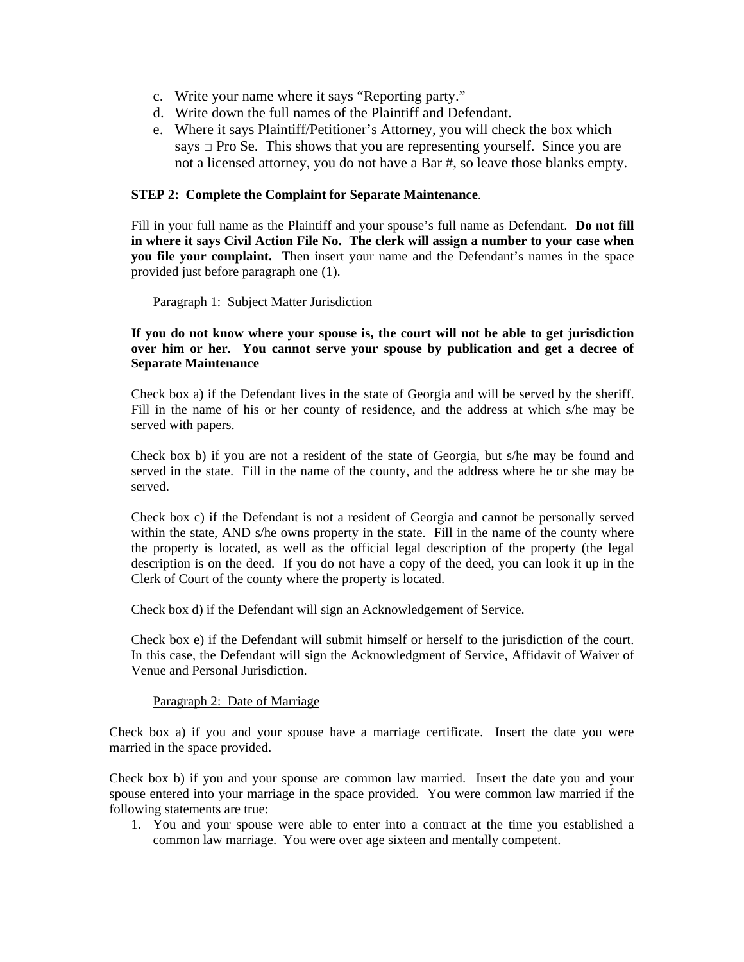- c. Write your name where it says "Reporting party."
- d. Write down the full names of the Plaintiff and Defendant.
- e. Where it says Plaintiff/Petitioner's Attorney, you will check the box which says  $\Box$  Pro Se. This shows that you are representing yourself. Since you are not a licensed attorney, you do not have a Bar #, so leave those blanks empty.

## **STEP 2: Complete the Complaint for Separate Maintenance**.

Fill in your full name as the Plaintiff and your spouse's full name as Defendant. **Do not fill in where it says Civil Action File No. The clerk will assign a number to your case when you file your complaint.** Then insert your name and the Defendant's names in the space provided just before paragraph one (1).

### Paragraph 1: Subject Matter Jurisdiction

**If you do not know where your spouse is, the court will not be able to get jurisdiction over him or her. You cannot serve your spouse by publication and get a decree of Separate Maintenance** 

Check box a) if the Defendant lives in the state of Georgia and will be served by the sheriff. Fill in the name of his or her county of residence, and the address at which s/he may be served with papers.

Check box b) if you are not a resident of the state of Georgia, but s/he may be found and served in the state. Fill in the name of the county, and the address where he or she may be served.

Check box c) if the Defendant is not a resident of Georgia and cannot be personally served within the state, AND s/he owns property in the state. Fill in the name of the county where the property is located, as well as the official legal description of the property (the legal description is on the deed. If you do not have a copy of the deed, you can look it up in the Clerk of Court of the county where the property is located.

Check box d) if the Defendant will sign an Acknowledgement of Service.

Check box e) if the Defendant will submit himself or herself to the jurisdiction of the court. In this case, the Defendant will sign the Acknowledgment of Service, Affidavit of Waiver of Venue and Personal Jurisdiction.

## Paragraph 2: Date of Marriage

Check box a) if you and your spouse have a marriage certificate. Insert the date you were married in the space provided.

Check box b) if you and your spouse are common law married. Insert the date you and your spouse entered into your marriage in the space provided. You were common law married if the following statements are true:

1. You and your spouse were able to enter into a contract at the time you established a common law marriage. You were over age sixteen and mentally competent.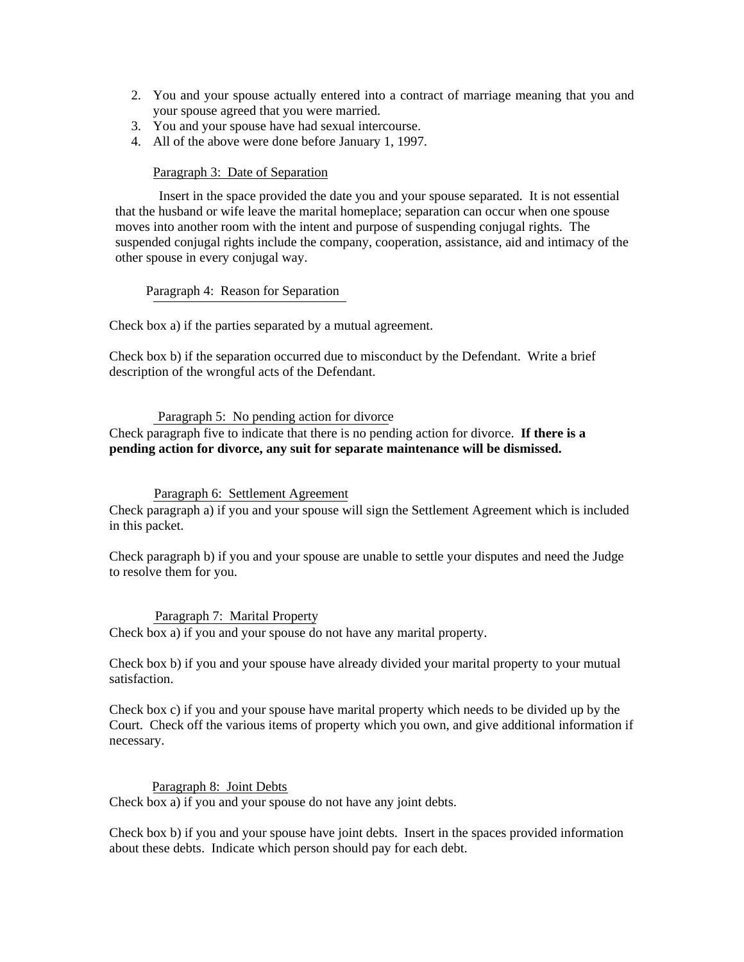- 2. You and your spouse actually entered into a contract of marriage meaning that you and your spouse agreed that you were married.
- 3. You and your spouse have had sexual intercourse.
- 4. All of the above were done before January 1, 1997.

### Paragraph 3: Date of Separation

 Insert in the space provided the date you and your spouse separated. It is not essential that the husband or wife leave the marital homeplace; separation can occur when one spouse moves into another room with the intent and purpose of suspending conjugal rights. The suspended conjugal rights include the company, cooperation, assistance, aid and intimacy of the other spouse in every conjugal way.

Paragraph 4: Reason for Separation

Check box a) if the parties separated by a mutual agreement.

Check box b) if the separation occurred due to misconduct by the Defendant. Write a brief description of the wrongful acts of the Defendant.

#### Paragraph 5: No pending action for divorce

Check paragraph five to indicate that there is no pending action for divorce. **If there is a pending action for divorce, any suit for separate maintenance will be dismissed.** 

#### Paragraph 6: Settlement Agreement

Check paragraph a) if you and your spouse will sign the Settlement Agreement which is included in this packet.

Check paragraph b) if you and your spouse are unable to settle your disputes and need the Judge to resolve them for you.

#### Paragraph 7: Marital Property

Check box a) if you and your spouse do not have any marital property.

Check box b) if you and your spouse have already divided your marital property to your mutual satisfaction.

Check box c) if you and your spouse have marital property which needs to be divided up by the Court. Check off the various items of property which you own, and give additional information if necessary.

Paragraph 8: Joint Debts Check box a) if you and your spouse do not have any joint debts.

Check box b) if you and your spouse have joint debts. Insert in the spaces provided information about these debts. Indicate which person should pay for each debt.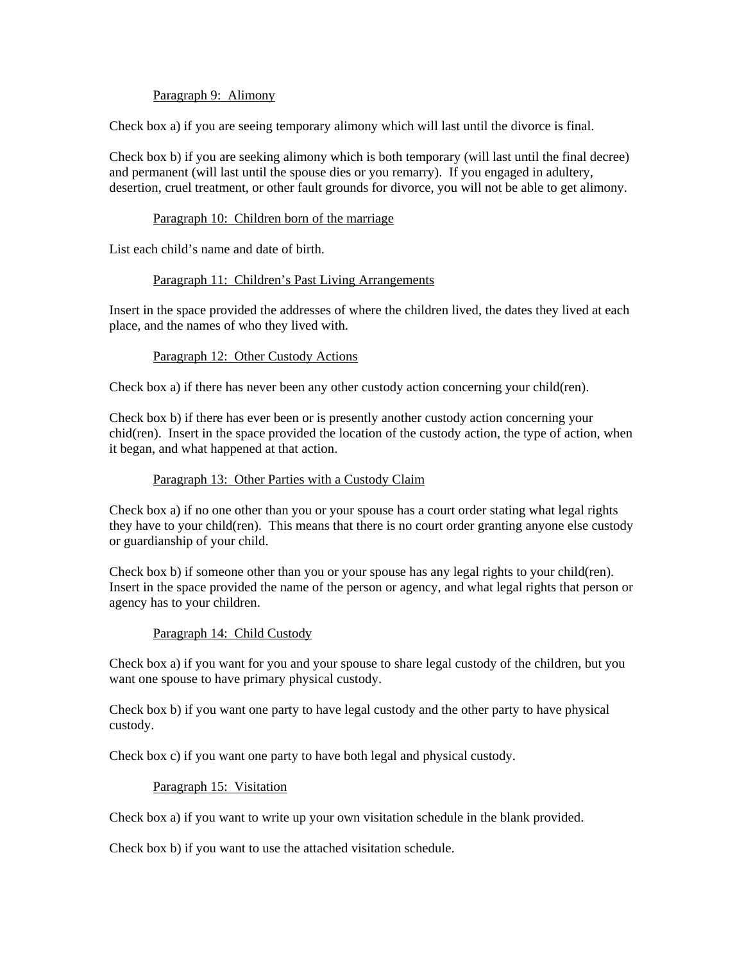### Paragraph 9: Alimony

Check box a) if you are seeing temporary alimony which will last until the divorce is final.

Check box b) if you are seeking alimony which is both temporary (will last until the final decree) and permanent (will last until the spouse dies or you remarry). If you engaged in adultery, desertion, cruel treatment, or other fault grounds for divorce, you will not be able to get alimony.

### Paragraph 10: Children born of the marriage

List each child's name and date of birth.

### Paragraph 11: Children's Past Living Arrangements

Insert in the space provided the addresses of where the children lived, the dates they lived at each place, and the names of who they lived with.

### Paragraph 12: Other Custody Actions

Check box a) if there has never been any other custody action concerning your child(ren).

Check box b) if there has ever been or is presently another custody action concerning your chid(ren). Insert in the space provided the location of the custody action, the type of action, when it began, and what happened at that action.

### Paragraph 13: Other Parties with a Custody Claim

Check box a) if no one other than you or your spouse has a court order stating what legal rights they have to your child(ren). This means that there is no court order granting anyone else custody or guardianship of your child.

Check box b) if someone other than you or your spouse has any legal rights to your child(ren). Insert in the space provided the name of the person or agency, and what legal rights that person or agency has to your children.

#### Paragraph 14: Child Custody

Check box a) if you want for you and your spouse to share legal custody of the children, but you want one spouse to have primary physical custody.

Check box b) if you want one party to have legal custody and the other party to have physical custody.

Check box c) if you want one party to have both legal and physical custody.

#### Paragraph 15: Visitation

Check box a) if you want to write up your own visitation schedule in the blank provided.

Check box b) if you want to use the attached visitation schedule.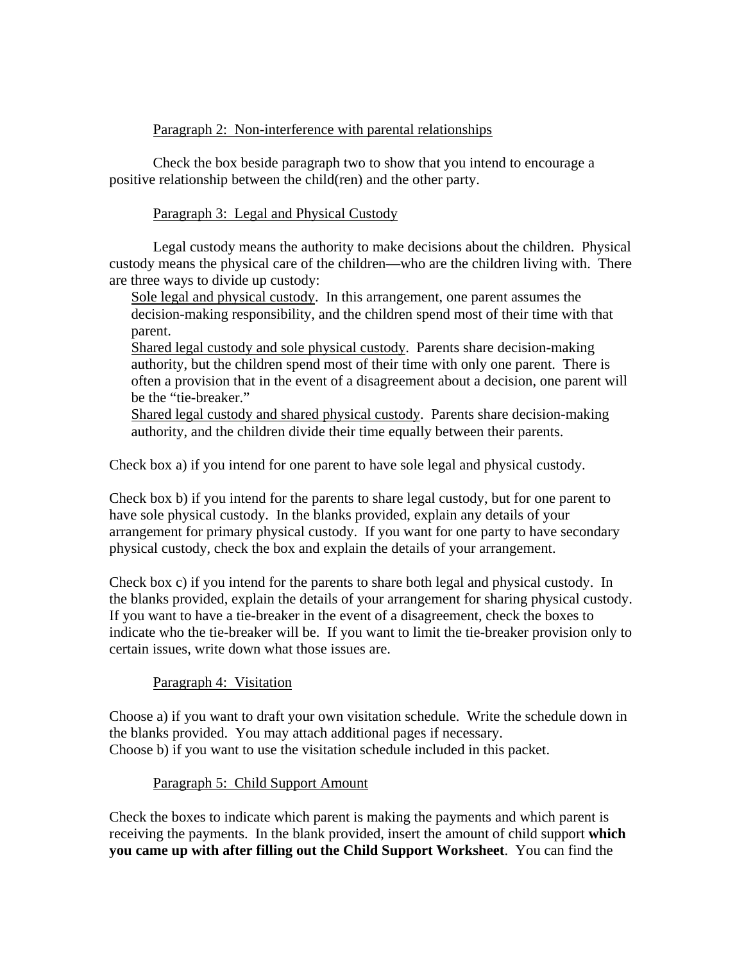# Paragraph 2: Non-interference with parental relationships

 Check the box beside paragraph two to show that you intend to encourage a positive relationship between the child(ren) and the other party.

# Paragraph 3: Legal and Physical Custody

 Legal custody means the authority to make decisions about the children. Physical custody means the physical care of the children—who are the children living with. There are three ways to divide up custody:

Sole legal and physical custody. In this arrangement, one parent assumes the decision-making responsibility, and the children spend most of their time with that parent.

Shared legal custody and sole physical custody. Parents share decision-making authority, but the children spend most of their time with only one parent. There is often a provision that in the event of a disagreement about a decision, one parent will be the "tie-breaker."

Shared legal custody and shared physical custody. Parents share decision-making authority, and the children divide their time equally between their parents.

Check box a) if you intend for one parent to have sole legal and physical custody.

Check box b) if you intend for the parents to share legal custody, but for one parent to have sole physical custody. In the blanks provided, explain any details of your arrangement for primary physical custody. If you want for one party to have secondary physical custody, check the box and explain the details of your arrangement.

Check box c) if you intend for the parents to share both legal and physical custody. In the blanks provided, explain the details of your arrangement for sharing physical custody. If you want to have a tie-breaker in the event of a disagreement, check the boxes to indicate who the tie-breaker will be. If you want to limit the tie-breaker provision only to certain issues, write down what those issues are.

# Paragraph 4: Visitation

Choose a) if you want to draft your own visitation schedule. Write the schedule down in the blanks provided. You may attach additional pages if necessary. Choose b) if you want to use the visitation schedule included in this packet.

# Paragraph 5: Child Support Amount

Check the boxes to indicate which parent is making the payments and which parent is receiving the payments. In the blank provided, insert the amount of child support **which you came up with after filling out the Child Support Worksheet**. You can find the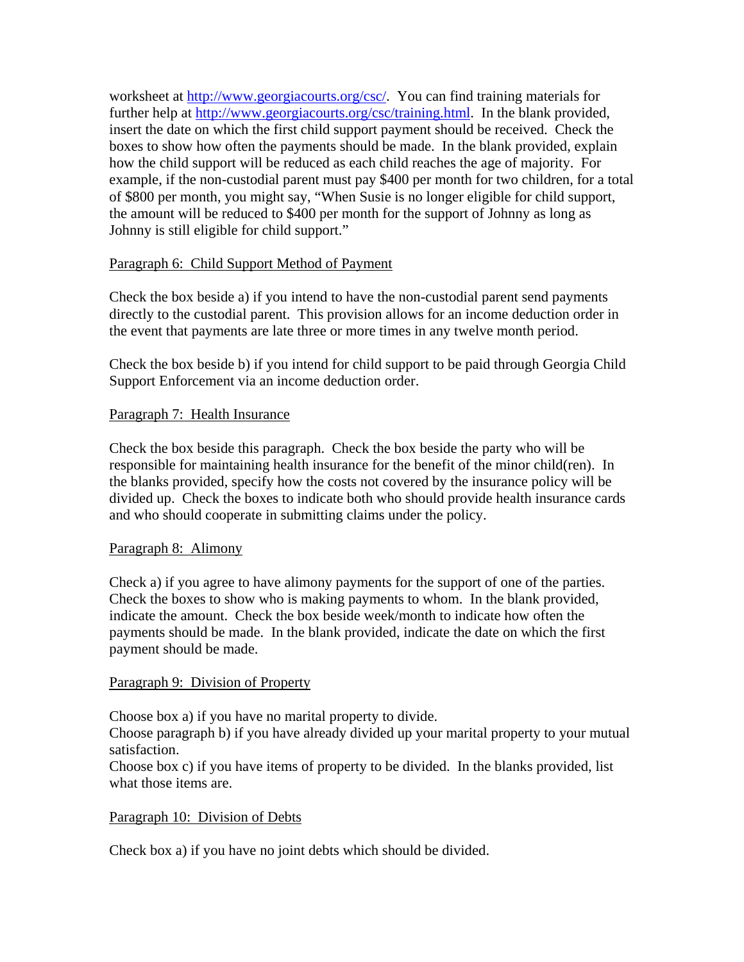worksheet at http://www.georgiacourts.org/csc/. You can find training materials for further help at http://www.georgiacourts.org/csc/training.html. In the blank provided, insert the date on which the first child support payment should be received. Check the boxes to show how often the payments should be made. In the blank provided, explain how the child support will be reduced as each child reaches the age of majority. For example, if the non-custodial parent must pay \$400 per month for two children, for a total of \$800 per month, you might say, "When Susie is no longer eligible for child support, the amount will be reduced to \$400 per month for the support of Johnny as long as Johnny is still eligible for child support."

# Paragraph 6: Child Support Method of Payment

Check the box beside a) if you intend to have the non-custodial parent send payments directly to the custodial parent. This provision allows for an income deduction order in the event that payments are late three or more times in any twelve month period.

Check the box beside b) if you intend for child support to be paid through Georgia Child Support Enforcement via an income deduction order.

# Paragraph 7: Health Insurance

Check the box beside this paragraph. Check the box beside the party who will be responsible for maintaining health insurance for the benefit of the minor child(ren). In the blanks provided, specify how the costs not covered by the insurance policy will be divided up. Check the boxes to indicate both who should provide health insurance cards and who should cooperate in submitting claims under the policy.

# Paragraph 8: Alimony

Check a) if you agree to have alimony payments for the support of one of the parties. Check the boxes to show who is making payments to whom. In the blank provided, indicate the amount. Check the box beside week/month to indicate how often the payments should be made. In the blank provided, indicate the date on which the first payment should be made.

# Paragraph 9: Division of Property

Choose box a) if you have no marital property to divide.

Choose paragraph b) if you have already divided up your marital property to your mutual satisfaction.

Choose box c) if you have items of property to be divided. In the blanks provided, list what those items are.

# Paragraph 10: Division of Debts

Check box a) if you have no joint debts which should be divided.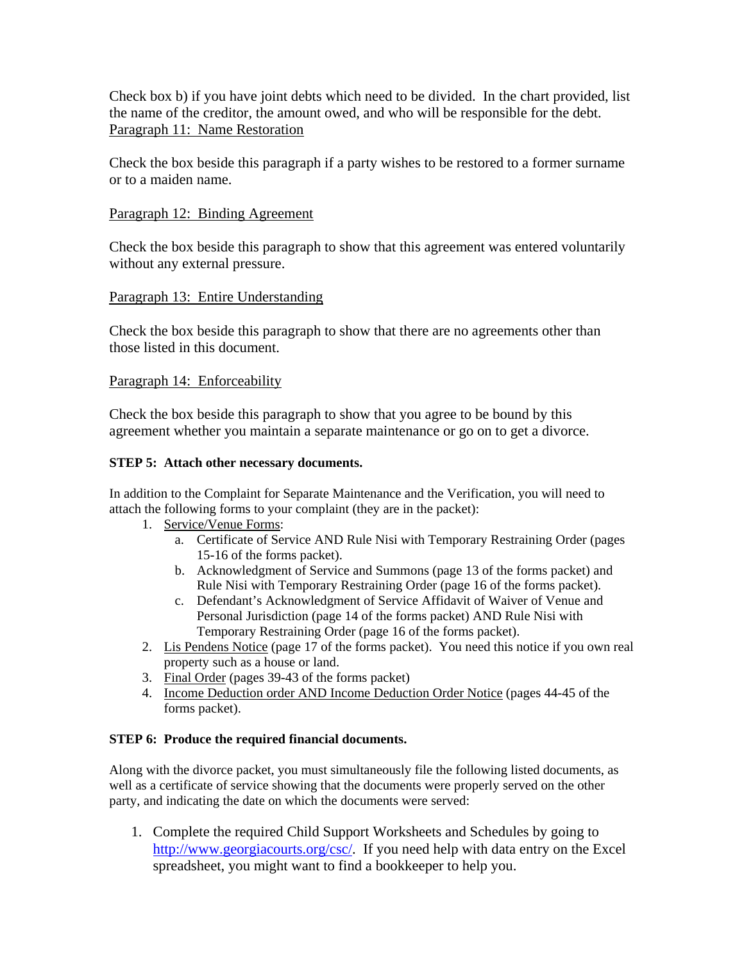Check box b) if you have joint debts which need to be divided. In the chart provided, list the name of the creditor, the amount owed, and who will be responsible for the debt. Paragraph 11: Name Restoration

Check the box beside this paragraph if a party wishes to be restored to a former surname or to a maiden name.

# Paragraph 12: Binding Agreement

Check the box beside this paragraph to show that this agreement was entered voluntarily without any external pressure.

# Paragraph 13: Entire Understanding

Check the box beside this paragraph to show that there are no agreements other than those listed in this document.

## Paragraph 14: Enforceability

Check the box beside this paragraph to show that you agree to be bound by this agreement whether you maintain a separate maintenance or go on to get a divorce.

## **STEP 5: Attach other necessary documents.**

In addition to the Complaint for Separate Maintenance and the Verification, you will need to attach the following forms to your complaint (they are in the packet):

- 1. Service/Venue Forms:
	- a. Certificate of Service AND Rule Nisi with Temporary Restraining Order (pages 15-16 of the forms packet).
	- b. Acknowledgment of Service and Summons (page 13 of the forms packet) and Rule Nisi with Temporary Restraining Order (page 16 of the forms packet).
	- c. Defendant's Acknowledgment of Service Affidavit of Waiver of Venue and Personal Jurisdiction (page 14 of the forms packet) AND Rule Nisi with Temporary Restraining Order (page 16 of the forms packet).
- 2. Lis Pendens Notice (page 17 of the forms packet). You need this notice if you own real property such as a house or land.
- 3. Final Order (pages 39-43 of the forms packet)
- 4. Income Deduction order AND Income Deduction Order Notice (pages 44-45 of the forms packet).

## **STEP 6: Produce the required financial documents.**

Along with the divorce packet, you must simultaneously file the following listed documents, as well as a certificate of service showing that the documents were properly served on the other party, and indicating the date on which the documents were served:

1. Complete the required Child Support Worksheets and Schedules by going to http://www.georgiacourts.org/csc/. If you need help with data entry on the Excel spreadsheet, you might want to find a bookkeeper to help you.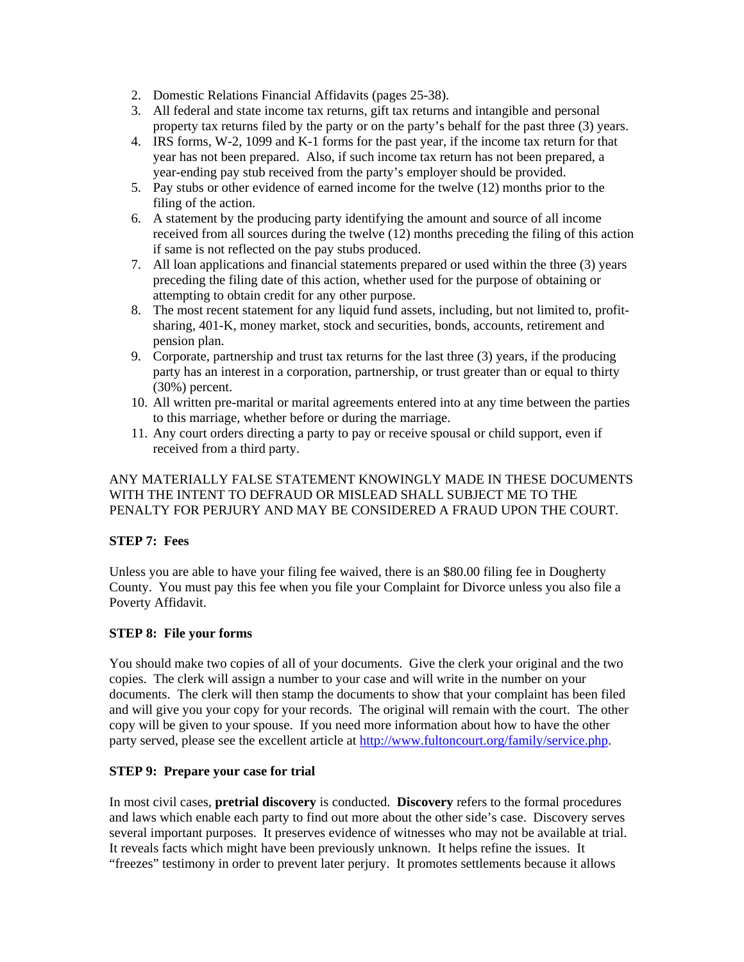- 2. Domestic Relations Financial Affidavits (pages 25-38).
- 3. All federal and state income tax returns, gift tax returns and intangible and personal property tax returns filed by the party or on the party's behalf for the past three (3) years.
- 4. IRS forms, W-2, 1099 and K-1 forms for the past year, if the income tax return for that year has not been prepared. Also, if such income tax return has not been prepared, a year-ending pay stub received from the party's employer should be provided.
- 5. Pay stubs or other evidence of earned income for the twelve (12) months prior to the filing of the action.
- 6. A statement by the producing party identifying the amount and source of all income received from all sources during the twelve (12) months preceding the filing of this action if same is not reflected on the pay stubs produced.
- 7. All loan applications and financial statements prepared or used within the three (3) years preceding the filing date of this action, whether used for the purpose of obtaining or attempting to obtain credit for any other purpose.
- 8. The most recent statement for any liquid fund assets, including, but not limited to, profitsharing, 401-K, money market, stock and securities, bonds, accounts, retirement and pension plan.
- 9. Corporate, partnership and trust tax returns for the last three (3) years, if the producing party has an interest in a corporation, partnership, or trust greater than or equal to thirty (30%) percent.
- 10. All written pre-marital or marital agreements entered into at any time between the parties to this marriage, whether before or during the marriage.
- 11. Any court orders directing a party to pay or receive spousal or child support, even if received from a third party.

## ANY MATERIALLY FALSE STATEMENT KNOWINGLY MADE IN THESE DOCUMENTS WITH THE INTENT TO DEFRAUD OR MISLEAD SHALL SUBJECT ME TO THE PENALTY FOR PERJURY AND MAY BE CONSIDERED A FRAUD UPON THE COURT.

## **STEP 7: Fees**

Unless you are able to have your filing fee waived, there is an \$80.00 filing fee in Dougherty County. You must pay this fee when you file your Complaint for Divorce unless you also file a Poverty Affidavit.

## **STEP 8: File your forms**

You should make two copies of all of your documents. Give the clerk your original and the two copies. The clerk will assign a number to your case and will write in the number on your documents. The clerk will then stamp the documents to show that your complaint has been filed and will give you your copy for your records. The original will remain with the court. The other copy will be given to your spouse. If you need more information about how to have the other party served, please see the excellent article at http://www.fultoncourt.org/family/service.php.

## **STEP 9: Prepare your case for trial**

In most civil cases, **pretrial discovery** is conducted. **Discovery** refers to the formal procedures and laws which enable each party to find out more about the other side's case. Discovery serves several important purposes. It preserves evidence of witnesses who may not be available at trial. It reveals facts which might have been previously unknown. It helps refine the issues. It "freezes" testimony in order to prevent later perjury. It promotes settlements because it allows